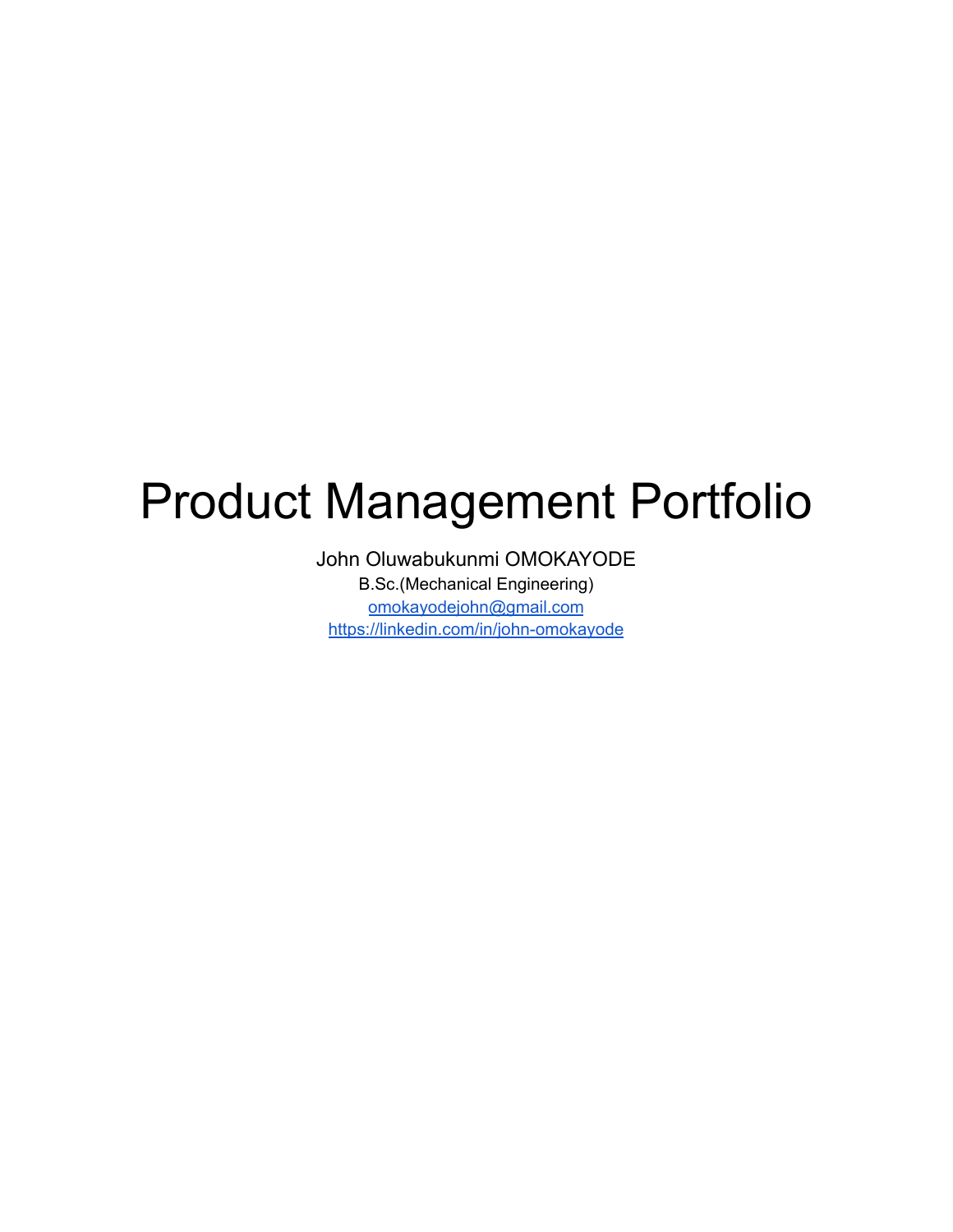# <span id="page-0-1"></span><span id="page-0-0"></span>Product Management Portfolio

John Oluwabukunmi OMOKAYODE B.Sc.(Mechanical Engineering) [omokayodejohn@gmail.com](mailto:omokayodejohn@gmail.com) <https://linkedin.com/in/john-omokayode>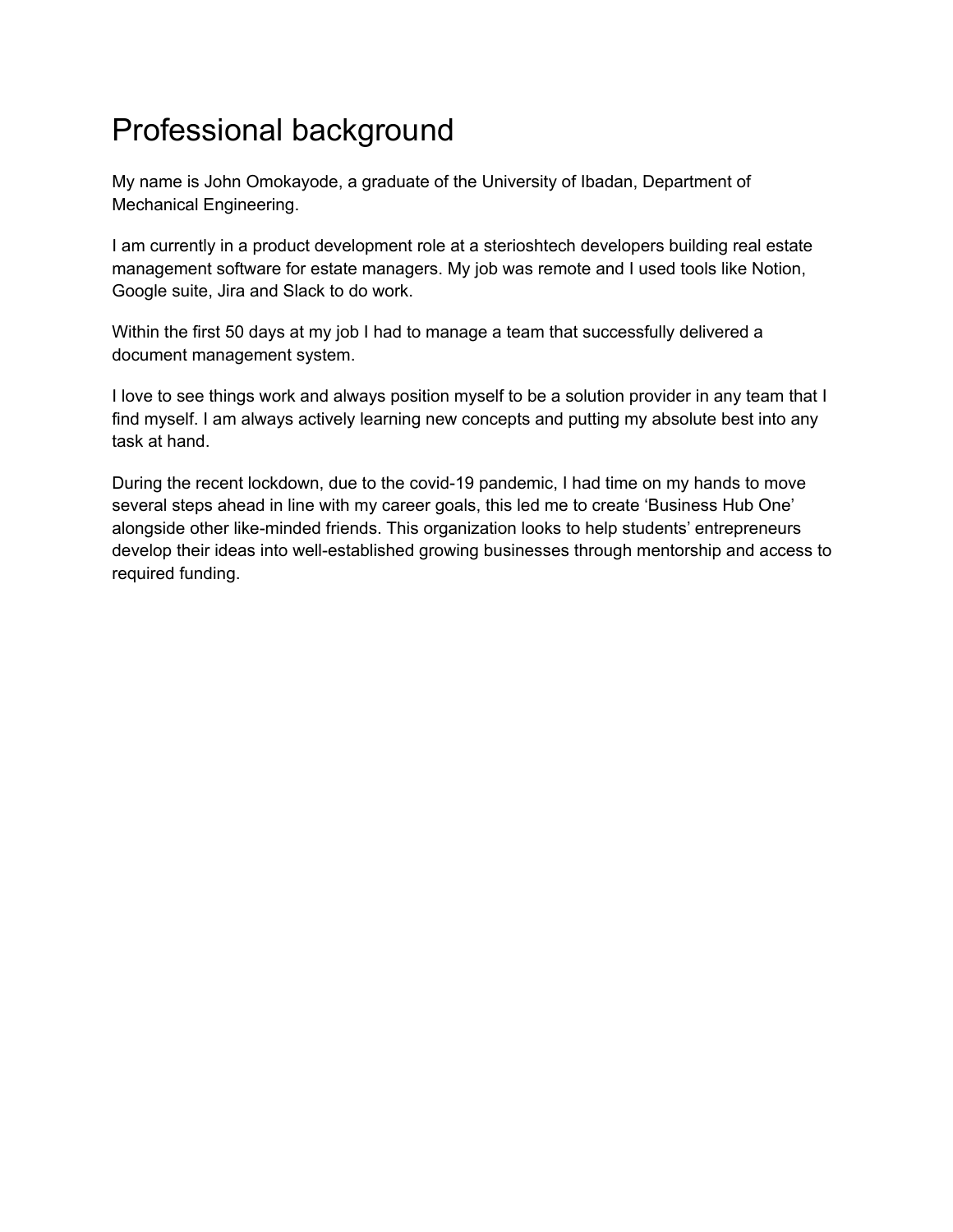## Professional background

My name is John Omokayode, a graduate of the University of Ibadan, Department of Mechanical Engineering.

I am currently in a product development role at a sterioshtech developers building real estate management software for estate managers. My job was remote and I used tools like Notion, Google suite, Jira and Slack to do work.

Within the first 50 days at my job I had to manage a team that successfully delivered a document management system.

I love to see things work and always position myself to be a solution provider in any team that I find myself. I am always actively learning new concepts and putting my absolute best into any task at hand.

During the recent lockdown, due to the covid-19 pandemic, I had time on my hands to move several steps ahead in line with my career goals, this led me to create 'Business Hub One' alongside other like-minded friends. This organization looks to help students' entrepreneurs develop their ideas into well-established growing businesses through mentorship and access to required funding.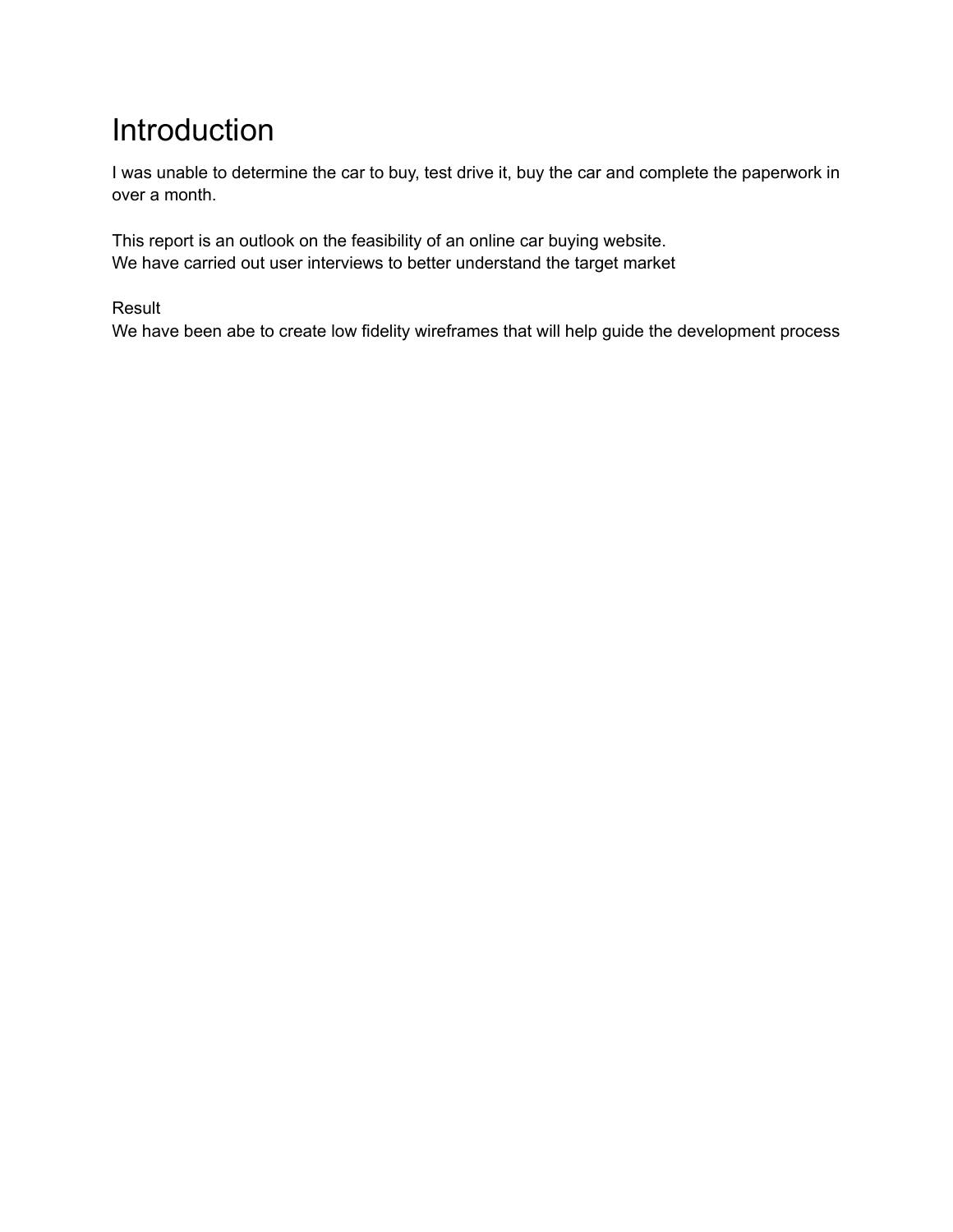## <span id="page-2-0"></span>Introduction

I was unable to determine the car to buy, test drive it, buy the car and complete the paperwork in over a month.

This report is an outlook on the feasibility of an online car buying website. We have carried out user interviews to better understand the target market

Result

We have been abe to create low fidelity wireframes that will help guide the development process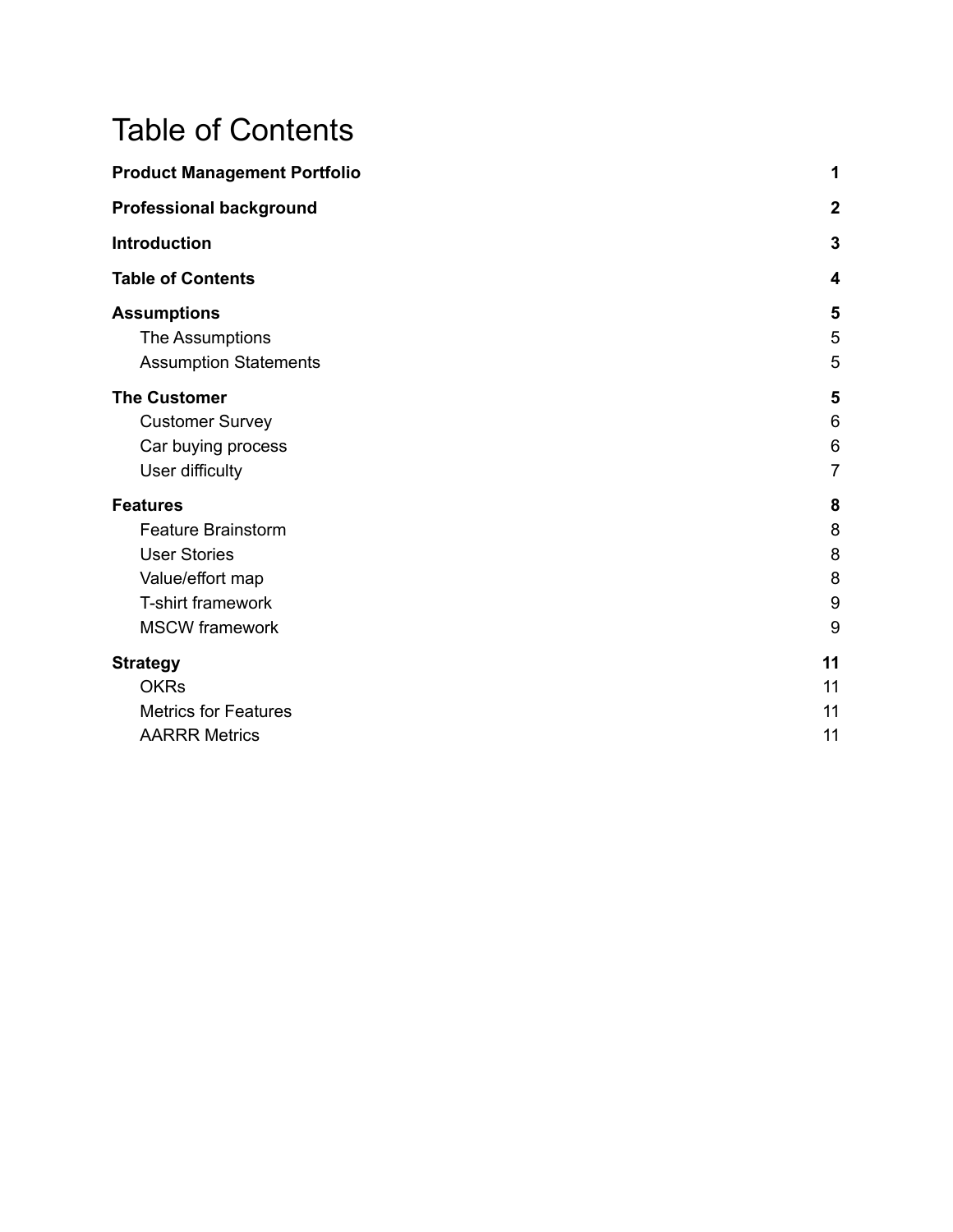## <span id="page-3-0"></span>Table of Contents

| <b>Product Management Portfolio</b> |                  |
|-------------------------------------|------------------|
| <b>Professional background</b>      | $\boldsymbol{2}$ |
| <b>Introduction</b>                 | 3                |
| <b>Table of Contents</b>            | 4                |
| <b>Assumptions</b>                  | 5                |
| The Assumptions                     | 5                |
| <b>Assumption Statements</b>        | 5                |
| <b>The Customer</b>                 | 5                |
| <b>Customer Survey</b>              | 6                |
| Car buying process                  | $6\phantom{1}6$  |
| User difficulty                     | 7                |
| <b>Features</b>                     | 8                |
| <b>Feature Brainstorm</b>           | 8                |
| <b>User Stories</b>                 | 8                |
| Value/effort map                    | 8                |
| T-shirt framework                   | 9                |
| <b>MSCW</b> framework               | 9                |
| <b>Strategy</b>                     | 11               |
| <b>OKRs</b>                         | 11               |
| <b>Metrics for Features</b>         | 11               |
| <b>AARRR Metrics</b>                | 11               |
|                                     |                  |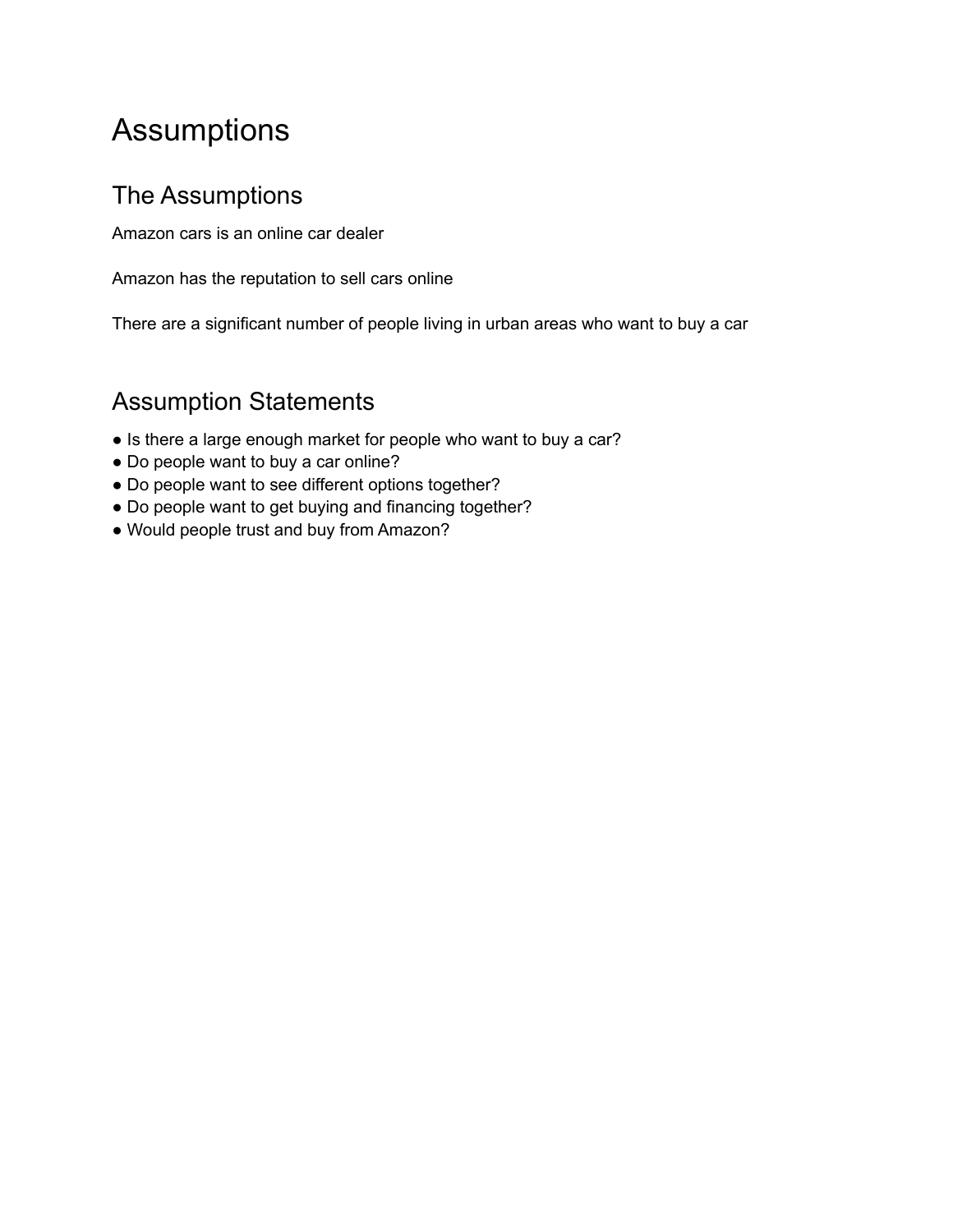## <span id="page-4-0"></span>Assumptions

### <span id="page-4-1"></span>The Assumptions

Amazon cars is an online car dealer

Amazon has the reputation to sell cars online

There are a significant number of people living in urban areas who want to buy a car

### <span id="page-4-2"></span>Assumption Statements

- Is there a large enough market for people who want to buy a car?
- Do people want to buy a car online?
- Do people want to see different options together?
- Do people want to get buying and financing together?
- Would people trust and buy from Amazon?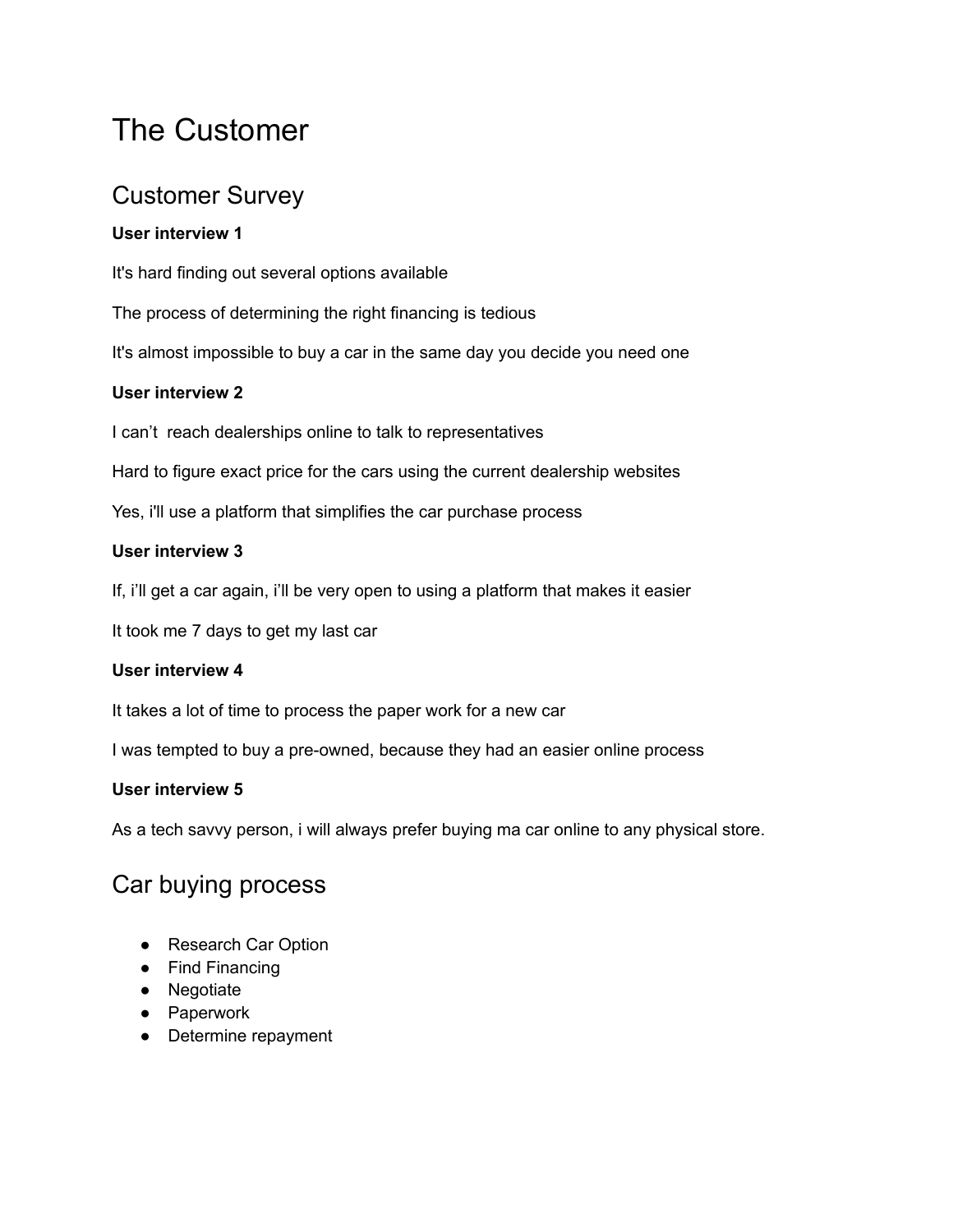## <span id="page-5-0"></span>The Customer

### <span id="page-5-1"></span>Customer Survey

#### **User interview 1**

It's hard finding out several options available

The process of determining the right financing is tedious

It's almost impossible to buy a car in the same day you decide you need one

#### **User interview 2**

I can't reach dealerships online to talk to representatives

Hard to figure exact price for the cars using the current dealership websites

Yes, i'll use a platform that simplifies the car purchase process

#### **User interview 3**

If, i'll get a car again, i'll be very open to using a platform that makes it easier

It took me 7 days to get my last car

#### **User interview 4**

It takes a lot of time to process the paper work for a new car

I was tempted to buy a pre-owned, because they had an easier online process

#### **User interview 5**

As a tech savvy person, i will always prefer buying ma car online to any physical store.

### <span id="page-5-2"></span>Car buying process

- Research Car Option
- Find Financing
- Negotiate
- Paperwork
- Determine repayment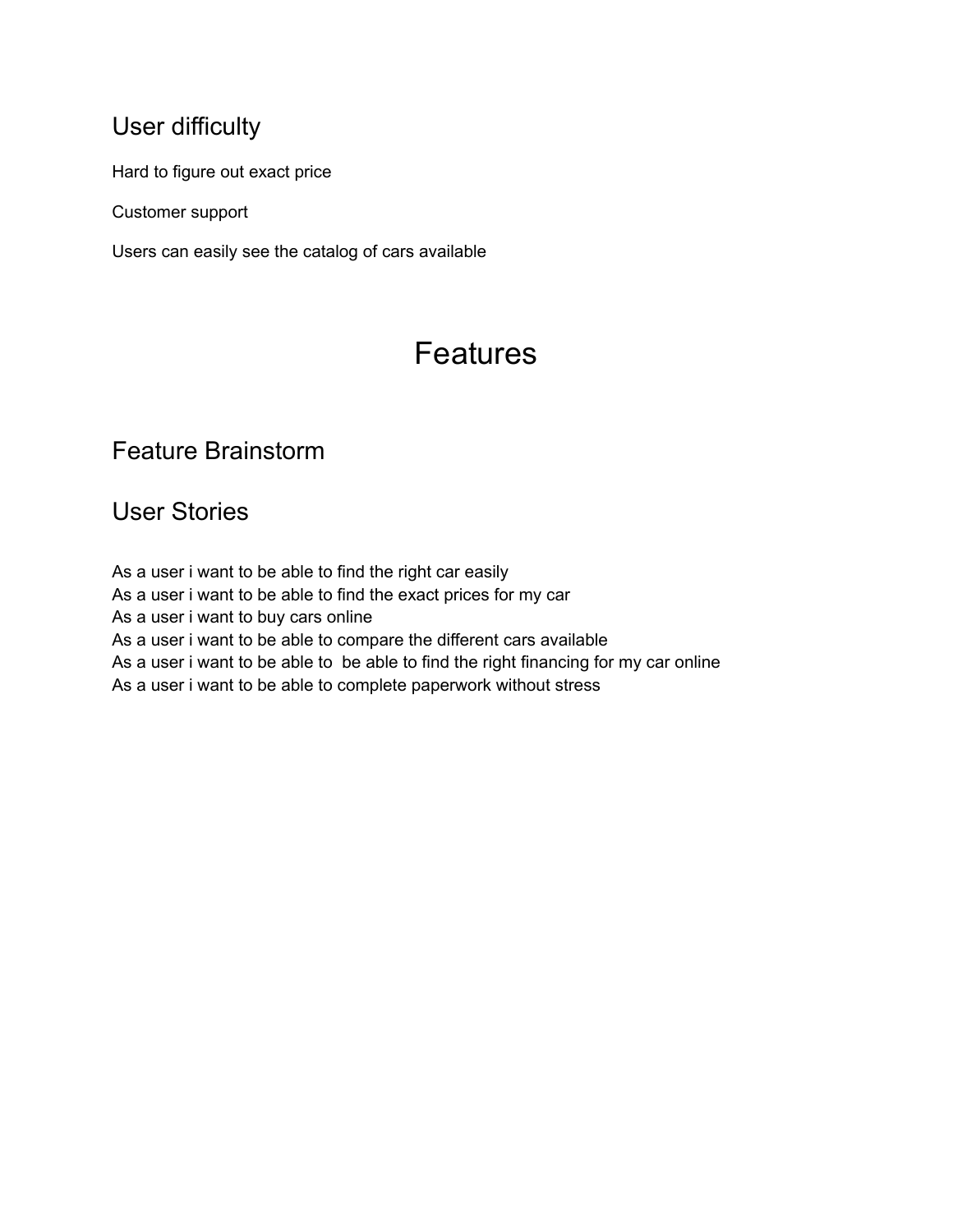### <span id="page-6-0"></span>User difficulty

Hard to figure out exact price

Customer support

Users can easily see the catalog of cars available

## Features

### <span id="page-6-1"></span>Feature Brainstorm

<span id="page-6-2"></span>User Stories

<span id="page-6-3"></span>As a user i want to be able to find the right car easily As a user i want to be able to find the exact prices for my car As a user i want to buy cars online As a user i want to be able to compare the different cars available As a user i want to be able to be able to find the right financing for my car online As a user i want to be able to complete paperwork without stress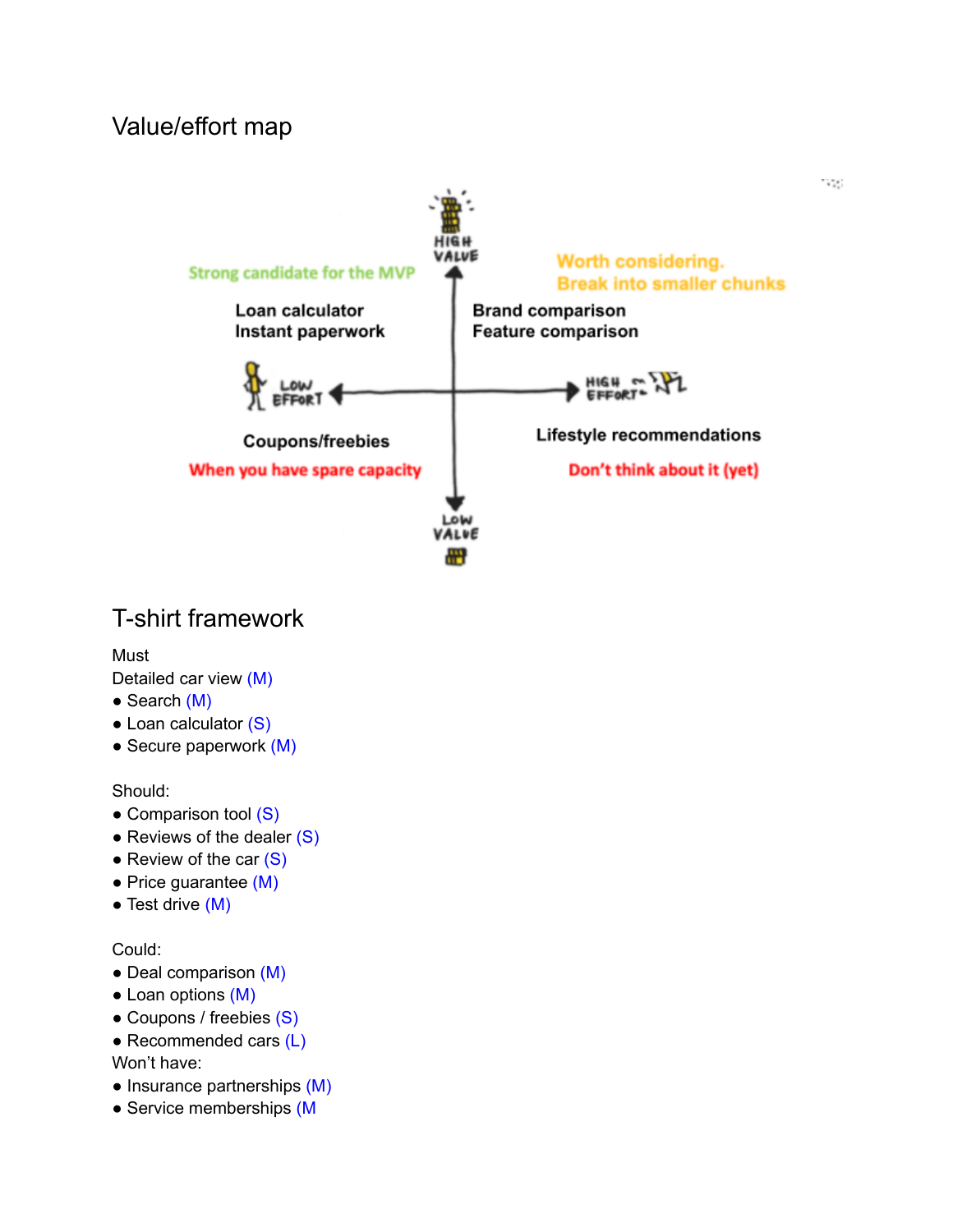### Value/effort map



### <span id="page-7-0"></span>T-shirt framework

Must

Detailed car view (M)

- Search (M)
- Loan calculator (S)
- $\bullet$  Secure paperwork  $(M)$

#### Should:

- Comparison tool (S)
- Reviews of the dealer  $(S)$
- $\bullet$  Review of the car  $(S)$
- Price guarantee (M)
- $\bullet$  Test drive  $(M)$

#### Could:

- Deal comparison (M)
- Loan options (M)
- Coupons / freebies (S)
- $\bullet$  Recommended cars (L) Won't have:
- Insurance partnerships (M)
- Service memberships (M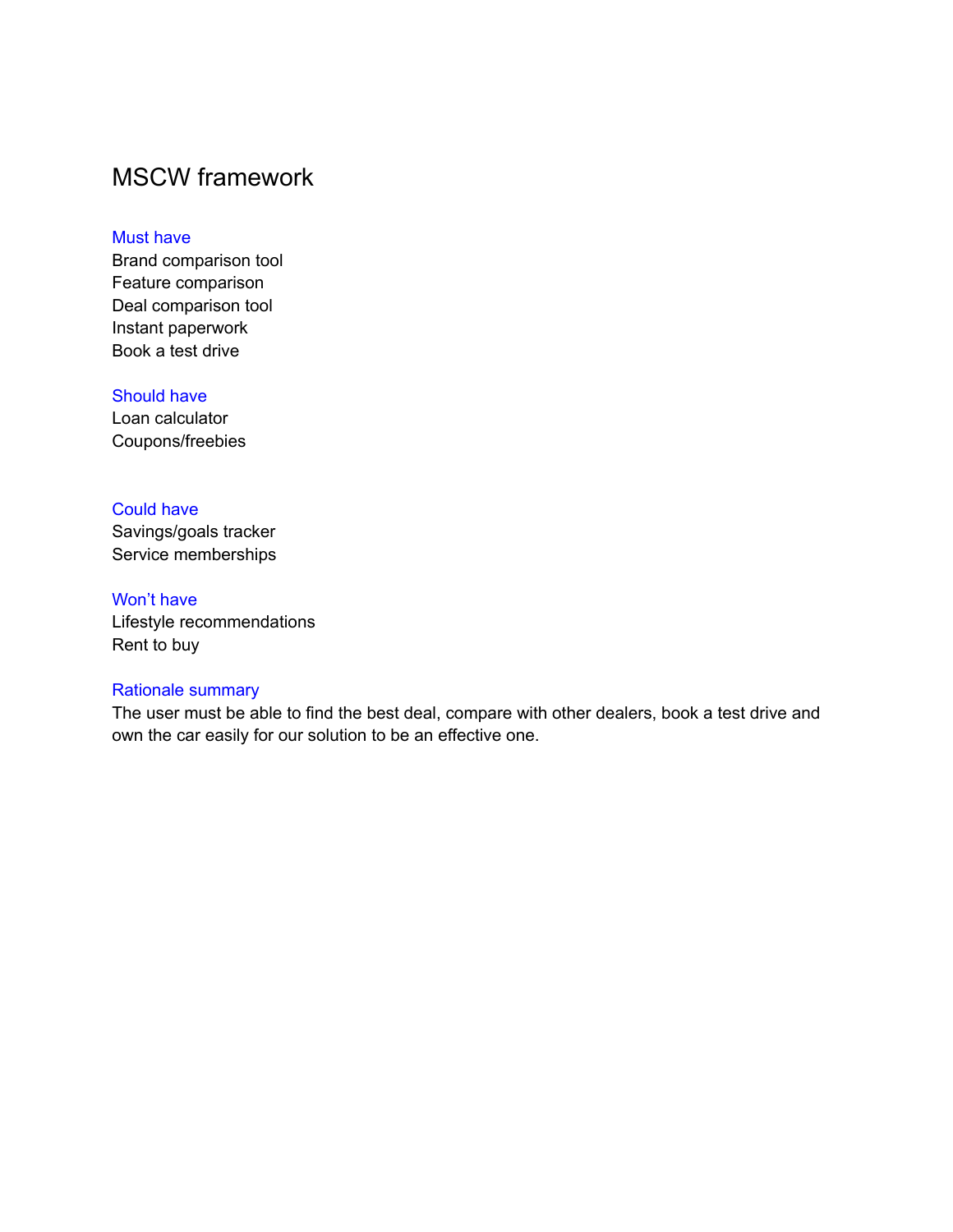### <span id="page-8-0"></span>MSCW framework

#### Must have

Brand comparison tool Feature comparison Deal comparison tool Instant paperwork Book a test drive

#### Should have

Loan calculator Coupons/freebies

#### Could have

Savings/goals tracker Service memberships

#### Won't have

Lifestyle recommendations Rent to buy

#### Rationale summary

The user must be able to find the best deal, compare with other dealers, book a test drive and own the car easily for our solution to be an effective one.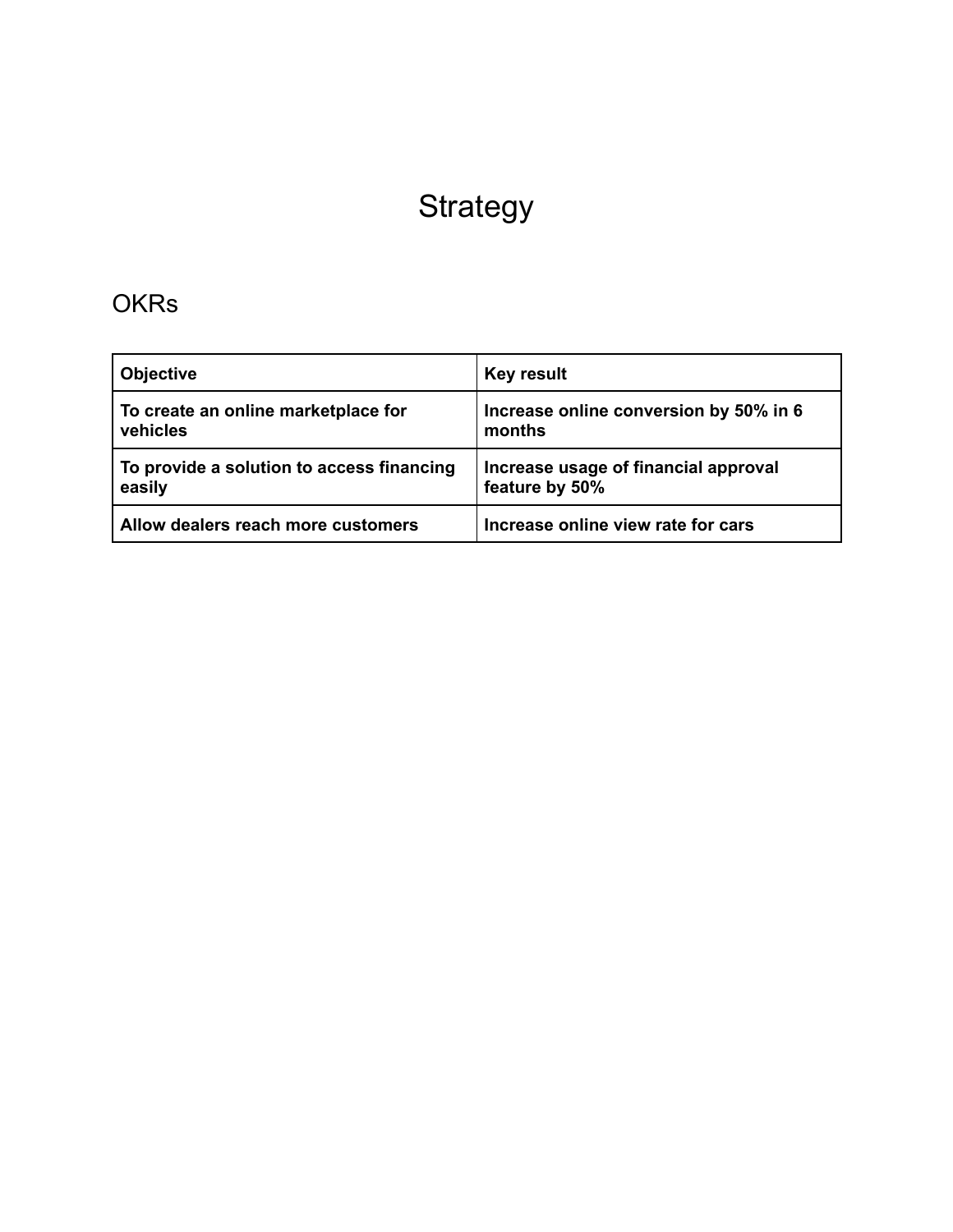## **Strategy**

### <span id="page-9-1"></span><span id="page-9-0"></span>**OKRs**

| <b>Objective</b>                          | <b>Key result</b>                      |
|-------------------------------------------|----------------------------------------|
| To create an online marketplace for       | Increase online conversion by 50% in 6 |
| vehicles                                  | months                                 |
| To provide a solution to access financing | Increase usage of financial approval   |
| easily                                    | feature by 50%                         |
| Allow dealers reach more customers        | Increase online view rate for cars     |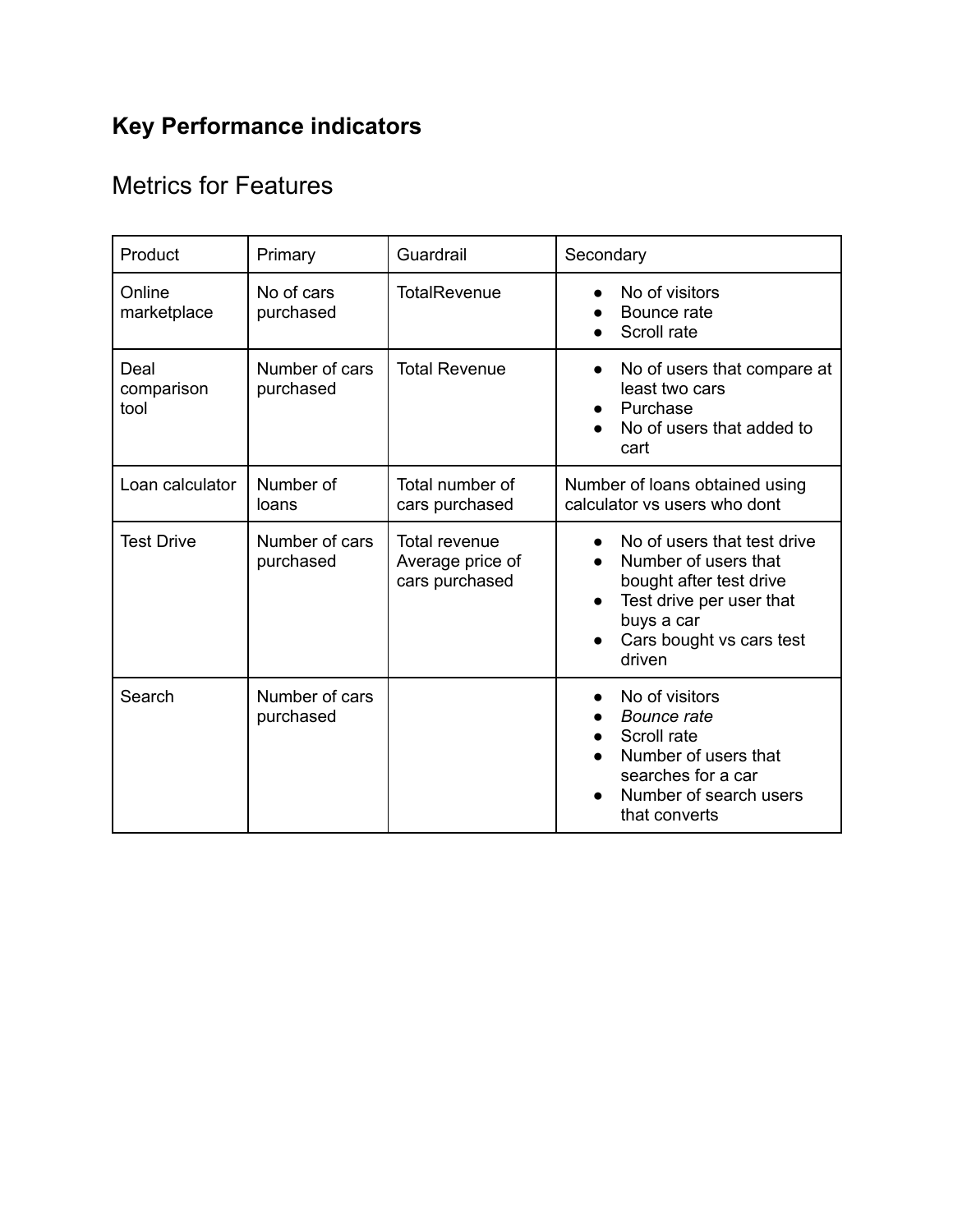## **Key Performance indicators**

### <span id="page-10-0"></span>Metrics for Features

<span id="page-10-1"></span>

| Product                    | Primary                     | Guardrail                                           | Secondary                                                                                                                                                                   |  |
|----------------------------|-----------------------------|-----------------------------------------------------|-----------------------------------------------------------------------------------------------------------------------------------------------------------------------------|--|
| Online<br>marketplace      | No of cars<br>purchased     | <b>TotalRevenue</b>                                 | No of visitors<br>Bounce rate<br>Scroll rate                                                                                                                                |  |
| Deal<br>comparison<br>tool | Number of cars<br>purchased | <b>Total Revenue</b>                                | No of users that compare at<br>$\bullet$<br>least two cars<br>Purchase<br>No of users that added to<br>cart                                                                 |  |
| Loan calculator            | Number of<br>loans          | Total number of<br>cars purchased                   | Number of loans obtained using<br>calculator vs users who dont                                                                                                              |  |
| <b>Test Drive</b>          | Number of cars<br>purchased | Total revenue<br>Average price of<br>cars purchased | No of users that test drive<br>Number of users that<br>bought after test drive<br>Test drive per user that<br>$\bullet$<br>buys a car<br>Cars bought vs cars test<br>driven |  |
| Search                     | Number of cars<br>purchased |                                                     | No of visitors<br>$\bullet$<br>Bounce rate<br>Scroll rate<br>Number of users that<br>searches for a car<br>Number of search users<br>that converts                          |  |